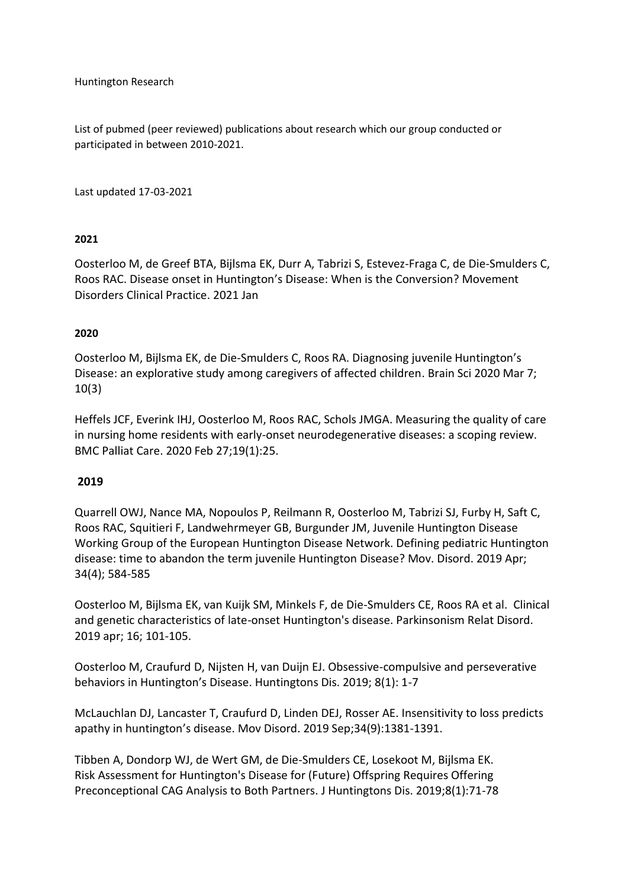Huntington Research

List of pubmed (peer reviewed) publications about research which our group conducted or participated in between 2010-2021.

Last updated 17-03-2021

### **2021**

Oosterloo M, de Greef BTA, Bijlsma EK, Durr A, Tabrizi S, Estevez-Fraga C, de Die-Smulders C, Roos RAC. Disease onset in Huntington's Disease: When is the Conversion? Movement Disorders Clinical Practice. 2021 Jan

### **2020**

Oosterloo M, Bijlsma EK, de Die-Smulders C, Roos RA. Diagnosing juvenile Huntington's Disease: an explorative study among caregivers of affected children. Brain Sci 2020 Mar 7; 10(3)

Heffels JCF, Everink IHJ, Oosterloo M, Roos RAC, Schols JMGA. Measuring the quality of care in nursing home residents with early-onset neurodegenerative diseases: a scoping review. BMC Palliat Care. 2020 Feb 27;19(1):25.

### **2019**

Quarrell OWJ, Nance MA, Nopoulos P, Reilmann R, Oosterloo M, Tabrizi SJ, Furby H, Saft C, Roos RAC, Squitieri F, Landwehrmeyer GB, Burgunder JM, Juvenile Huntington Disease Working Group of the European Huntington Disease Network. Defining pediatric Huntington disease: time to abandon the term juvenile Huntington Disease? Mov. Disord. 2019 Apr; 34(4); 584-585

Oosterloo M, Bijlsma EK, van Kuijk SM, Minkels F, de Die-Smulders CE, Roos RA et al. Clinical and genetic characteristics of late-onset Huntington's disease. Parkinsonism Relat Disord. 2019 apr; 16; 101-105.

Oosterloo M, Craufurd D, Nijsten H, van Duijn EJ. Obsessive-compulsive and perseverative behaviors in Huntington's Disease. Huntingtons Dis. 2019; 8(1): 1-7

McLauchlan DJ, Lancaster T, Craufurd D, Linden DEJ, Rosser AE. Insensitivity to loss predicts apathy in huntington's disease. Mov Disord. 2019 Sep;34(9):1381-1391.

Tibben A, Dondorp WJ, de Wert GM, de Die-Smulders CE, Losekoot M, Bijlsma EK. Risk Assessment for Huntington's Disease for (Future) Offspring Requires Offering Preconceptional CAG Analysis to Both Partners. J Huntingtons Dis. 2019;8(1):71-78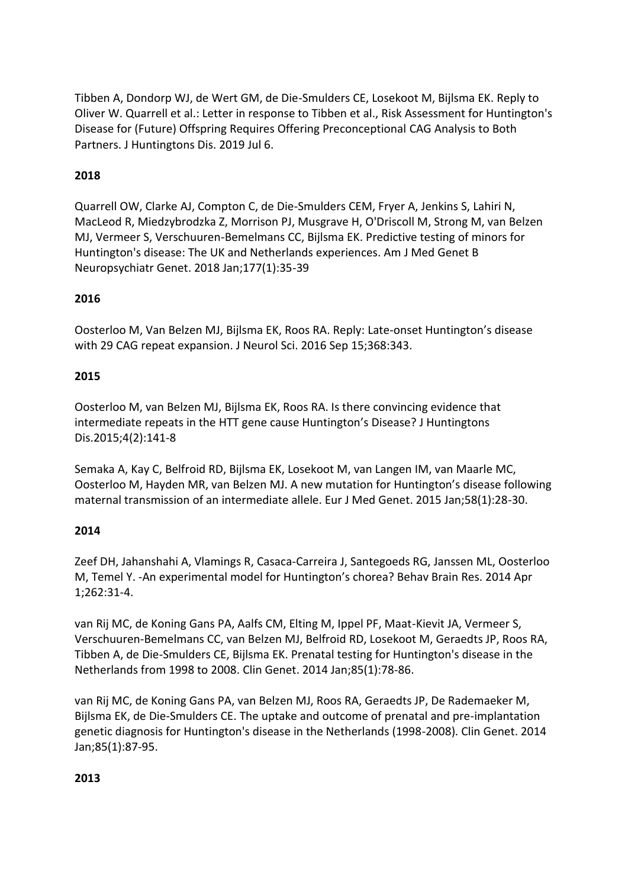Tibben A, Dondorp WJ, de Wert GM, de Die-Smulders CE, Losekoot M, Bijlsma EK. Reply to Oliver W. Quarrell et al.: Letter in response to Tibben et al., Risk Assessment for Huntington's Disease for (Future) Offspring Requires Offering Preconceptional CAG Analysis to Both Partners. J Huntingtons Dis. 2019 Jul 6.

# **2018**

Quarrell OW, Clarke AJ, Compton C, de Die-Smulders CEM, Fryer A, Jenkins S, Lahiri N, MacLeod R, Miedzybrodzka Z, Morrison PJ, Musgrave H, O'Driscoll M, Strong M, van Belzen MJ, Vermeer S, Verschuuren-Bemelmans CC, Bijlsma EK. Predictive testing of minors for Huntington's disease: The UK and Netherlands experiences. Am J Med Genet B Neuropsychiatr Genet. 2018 Jan;177(1):35-39

## **2016**

Oosterloo M, Van Belzen MJ, Bijlsma EK, Roos RA. Reply: Late-onset Huntington's disease with 29 CAG repeat expansion. J Neurol Sci. 2016 Sep 15;368:343.

## **2015**

Oosterloo M, van Belzen MJ, Bijlsma EK, Roos RA. Is there convincing evidence that intermediate repeats in the HTT gene cause Huntington's Disease? J Huntingtons Dis.2015;4(2):141-8

Semaka A, Kay C, Belfroid RD, Bijlsma EK, Losekoot M, van Langen IM, van Maarle MC, Oosterloo M, Hayden MR, van Belzen MJ. A new mutation for Huntington's disease following maternal transmission of an intermediate allele. Eur J Med Genet. 2015 Jan;58(1):28-30.

## **2014**

Zeef DH, Jahanshahi A, Vlamings R, Casaca-Carreira J, Santegoeds RG, Janssen ML, Oosterloo M, Temel Y. -An experimental model for Huntington's chorea? Behav Brain Res. 2014 Apr 1;262:31-4.

van Rij MC, de Koning Gans PA, Aalfs CM, Elting M, Ippel PF, Maat-Kievit JA, Vermeer S, Verschuuren-Bemelmans CC, van Belzen MJ, Belfroid RD, Losekoot M, Geraedts JP, Roos RA, Tibben A, de Die-Smulders CE, Bijlsma EK. Prenatal testing for Huntington's disease in the Netherlands from 1998 to 2008. Clin Genet. 2014 Jan;85(1):78-86.

van Rij MC, de Koning Gans PA, van Belzen MJ, Roos RA, Geraedts JP, De Rademaeker M, Bijlsma EK, de Die-Smulders CE. The uptake and outcome of prenatal and pre-implantation genetic diagnosis for Huntington's disease in the Netherlands (1998-2008). Clin Genet. 2014 Jan;85(1):87-95.

## **2013**